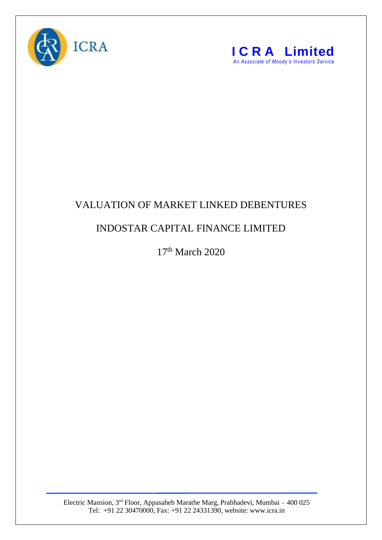



## VALUATION OF MARKET LINKED DEBENTURES

## INDOSTAR CAPITAL FINANCE LIMITED

17<sup>th</sup> March 2020

Electric Mansion, 3<sup>rd</sup> Floor, Appasaheb Marathe Marg, Prabhadevi, Mumbai – 400 025 Tel: +91 22 30470000, Fax: +91 22 24331390, website: www.icra.in